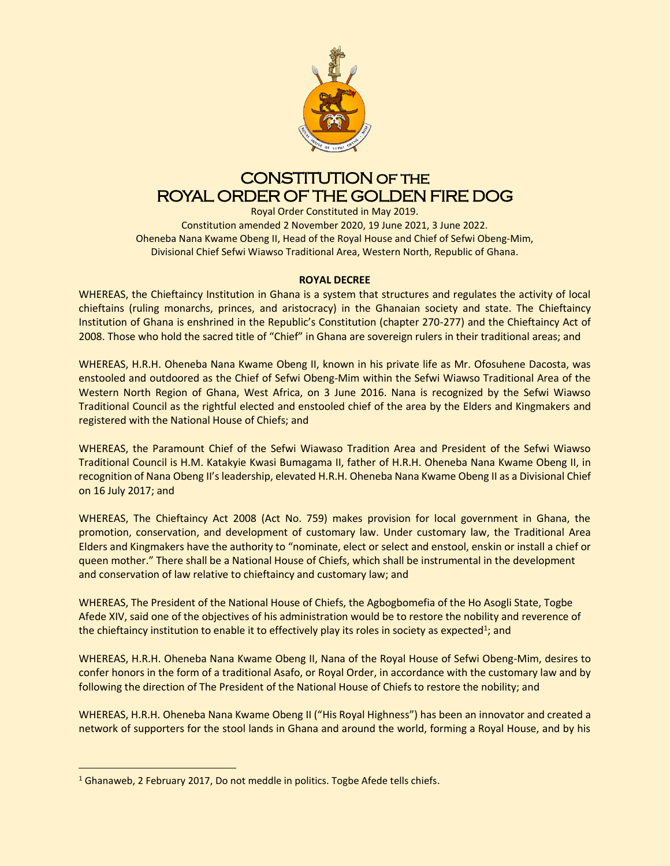

# CONSTITUTION of the ROYAL ORDER OF THE GOLDEN FIRE DOG

Royal Order Constituted in May 2019. Constitution amended 2 November 2020, 19 June 2021, 3 June 2022. Oheneba Nana Kwame Obeng II, Head of the Royal House and Chief of Sefwi Obeng-Mim, Divisional Chief Sefwi Wiawso Traditional Area, Western North, Republic of Ghana.

# **ROYAL DECREE**

WHEREAS, the Chieftaincy Institution in Ghana is a system that structures and regulates the activity of local chieftains (ruling monarchs, princes, and aristocracy) in the Ghanaian society and state. The Chieftaincy Institution of Ghana is enshrined in the Republic's Constitution (chapter 270-277) and the Chieftaincy Act of 2008. Those who hold the sacred title of "Chief" in Ghana are sovereign rulers in their traditional areas; and

WHEREAS, H.R.H. Oheneba Nana Kwame Obeng II, known in his private life as Mr. Ofosuhene Dacosta, was enstooled and outdoored as the Chief of Sefwi Obeng-Mim within the Sefwi Wiawso Traditional Area of the Western North Region of Ghana, West Africa, on 3 June 2016. Nana is recognized by the Sefwi Wiawso Traditional Council as the rightful elected and enstooled chief of the area by the Elders and Kingmakers and registered with the National House of Chiefs; and

WHEREAS, the Paramount Chief of the Sefwi Wiawaso Tradition Area and President of the Sefwi Wiawso Traditional Council is H.M. Katakyie Kwasi Bumagama II, father of H.R.H. Oheneba Nana Kwame Obeng II, in recognition of Nana Obeng II's leadership, elevated H.R.H. Oheneba Nana Kwame Obeng II as a Divisional Chief on 16 July 2017; and

WHEREAS, The Chieftaincy Act 2008 (Act No. 759) makes provision for local government in Ghana, the promotion, conservation, and development of customary law. Under customary law, the Traditional Area Elders and Kingmakers have the authority to "nominate, elect or select and enstool, enskin or install a chief or queen mother." There shall be a National House of Chiefs, which shall be instrumental in the development and conservation of law relative to chieftaincy and customary law; and

WHEREAS, The President of the National House of Chiefs, the Agbogbomefia of the Ho Asogli State, Togbe Afede XIV, said one of the objectives of his administration would be to restore the nobility and reverence of the chieftaincy institution to enable it to effectively play its roles in society as expected<sup>1</sup>; and

WHEREAS, H.R.H. Oheneba Nana Kwame Obeng II, Nana of the Royal House of Sefwi Obeng-Mim, desires to confer honors in the form of a traditional Asafo, or Royal Order, in accordance with the customary law and by following the direction of The President of the National House of Chiefs to restore the nobility; and

WHEREAS, H.R.H. Oheneba Nana Kwame Obeng II ("His Royal Highness") has been an innovator and created a network of supporters for the stool lands in Ghana and around the world, forming a Royal House, and by his

<sup>&</sup>lt;sup>1</sup> Ghanaweb, 2 February 2017, Do not meddle in politics. Togbe Afede tells chiefs.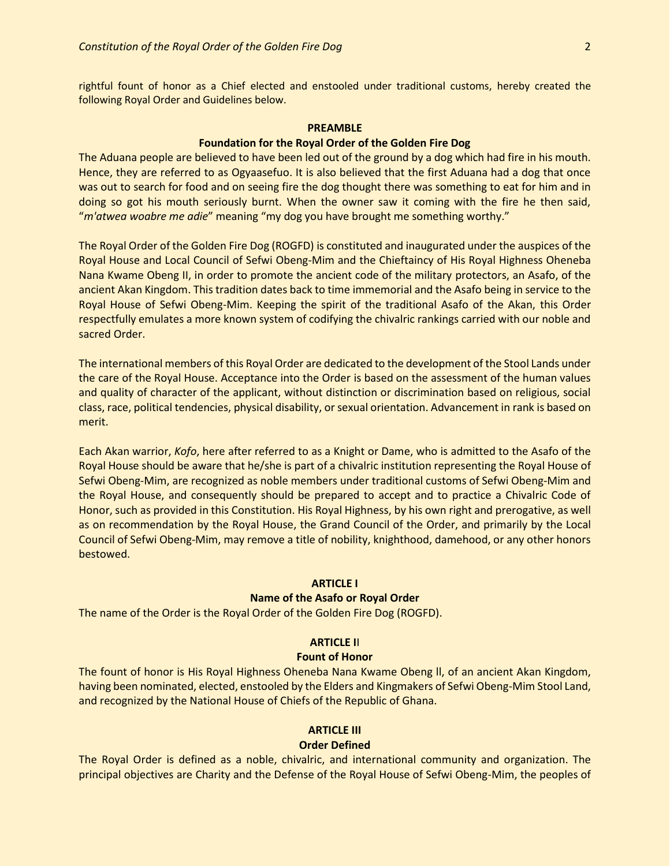rightful fount of honor as a Chief elected and enstooled under traditional customs, hereby created the following Royal Order and Guidelines below.

# **PREAMBLE**

# **Foundation for the Royal Order of the Golden Fire Dog**

The Aduana people are believed to have been led out of the ground by a dog which had fire in his mouth. Hence, they are referred to as Ogyaasefuo. It is also believed that the first Aduana had a dog that once was out to search for food and on seeing fire the dog thought there was something to eat for him and in doing so got his mouth seriously burnt. When the owner saw it coming with the fire he then said, "*m'atwea woabre me adie*" meaning "my dog you have brought me something worthy."

The Royal Order of the Golden Fire Dog (ROGFD) is constituted and inaugurated under the auspices of the Royal House and Local Council of Sefwi Obeng-Mim and the Chieftaincy of His Royal Highness Oheneba Nana Kwame Obeng II, in order to promote the ancient code of the military protectors, an Asafo, of the ancient Akan Kingdom. This tradition dates back to time immemorial and the Asafo being in service to the Royal House of Sefwi Obeng-Mim. Keeping the spirit of the traditional Asafo of the Akan, this Order respectfully emulates a more known system of codifying the chivalric rankings carried with our noble and sacred Order.

The international members of this Royal Order are dedicated to the development of the Stool Lands under the care of the Royal House. Acceptance into the Order is based on the assessment of the human values and quality of character of the applicant, without distinction or discrimination based on religious, social class, race, political tendencies, physical disability, or sexual orientation. Advancement in rank is based on merit.

Each Akan warrior, *Kofo*, here after referred to as a Knight or Dame, who is admitted to the Asafo of the Royal House should be aware that he/she is part of a chivalric institution representing the Royal House of Sefwi Obeng-Mim, are recognized as noble members under traditional customs of Sefwi Obeng-Mim and the Royal House, and consequently should be prepared to accept and to practice a Chivalric Code of Honor, such as provided in this Constitution. His Royal Highness, by his own right and prerogative, as well as on recommendation by the Royal House, the Grand Council of the Order, and primarily by the Local Council of Sefwi Obeng-Mim, may remove a title of nobility, knighthood, damehood, or any other honors bestowed.

### **ARTICLE I**

## **Name of the Asafo or Royal Order**

The name of the Order is the Royal Order of the Golden Fire Dog (ROGFD).

## **ARTICLE I**I

#### **Fount of Honor**

The fount of honor is His Royal Highness Oheneba Nana Kwame Obeng ll, of an ancient Akan Kingdom, having been nominated, elected, enstooled by the Elders and Kingmakers of Sefwi Obeng-Mim Stool Land, and recognized by the National House of Chiefs of the Republic of Ghana.

#### **ARTICLE III**

# **Order Defined**

The Royal Order is defined as a noble, chivalric, and international community and organization. The principal objectives are Charity and the Defense of the Royal House of Sefwi Obeng-Mim, the peoples of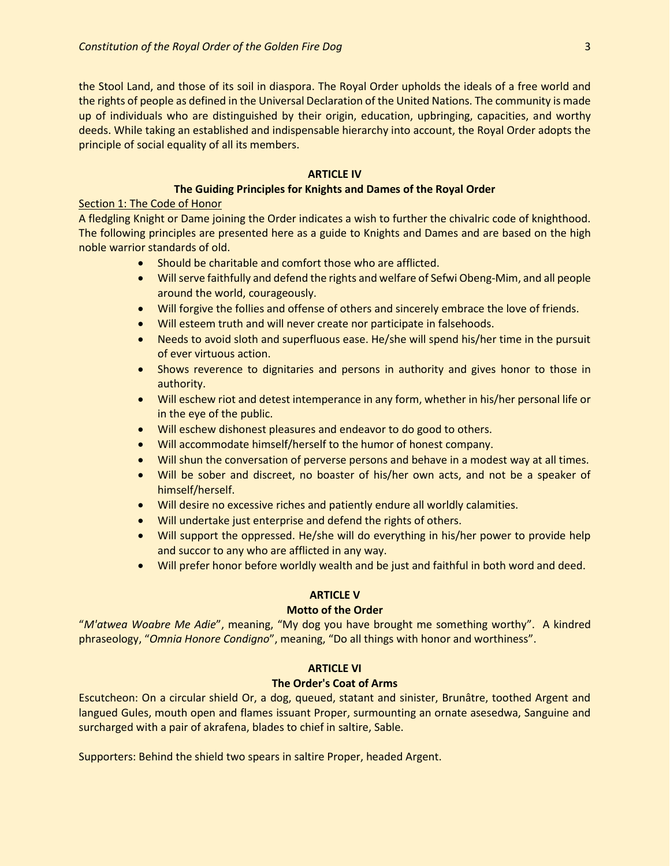the Stool Land, and those of its soil in diaspora. The Royal Order upholds the ideals of a free world and the rights of people as defined in the Universal Declaration of the United Nations. The community is made up of individuals who are distinguished by their origin, education, upbringing, capacities, and worthy deeds. While taking an established and indispensable hierarchy into account, the Royal Order adopts the principle of social equality of all its members.

## **ARTICLE IV**

## **The Guiding Principles for Knights and Dames of the Royal Order**

## Section 1: The Code of Honor

A fledgling Knight or Dame joining the Order indicates a wish to further the chivalric code of knighthood. The following principles are presented here as a guide to Knights and Dames and are based on the high noble warrior standards of old.

- Should be charitable and comfort those who are afflicted.
- Will serve faithfully and defend the rights and welfare of Sefwi Obeng-Mim, and all people around the world, courageously.
- Will forgive the follies and offense of others and sincerely embrace the love of friends.
- Will esteem truth and will never create nor participate in falsehoods.
- Needs to avoid sloth and superfluous ease. He/she will spend his/her time in the pursuit of ever virtuous action.
- Shows reverence to dignitaries and persons in authority and gives honor to those in authority.
- Will eschew riot and detest intemperance in any form, whether in his/her personal life or in the eye of the public.
- Will eschew dishonest pleasures and endeavor to do good to others.
- Will accommodate himself/herself to the humor of honest company.
- Will shun the conversation of perverse persons and behave in a modest way at all times.
- Will be sober and discreet, no boaster of his/her own acts, and not be a speaker of himself/herself.
- Will desire no excessive riches and patiently endure all worldly calamities.
- Will undertake just enterprise and defend the rights of others.
- Will support the oppressed. He/she will do everything in his/her power to provide help and succor to any who are afflicted in any way.
- Will prefer honor before worldly wealth and be just and faithful in both word and deed.

# **ARTICLE V**

## **Motto of the Order**

"*M'atwea Woabre Me Adie*", meaning, "My dog you have brought me something worthy". A kindred phraseology, "*Omnia Honore Condigno*", meaning, "Do all things with honor and worthiness".

# **ARTICLE VI**

## **The Order's Coat of Arms**

Escutcheon: On a circular shield Or, a dog, queued, statant and sinister, Brunâtre, toothed Argent and langued Gules, mouth open and flames issuant Proper, surmounting an ornate asesedwa, Sanguine and surcharged with a pair of akrafena, blades to chief in saltire, Sable.

Supporters: Behind the shield two spears in saltire Proper, headed Argent.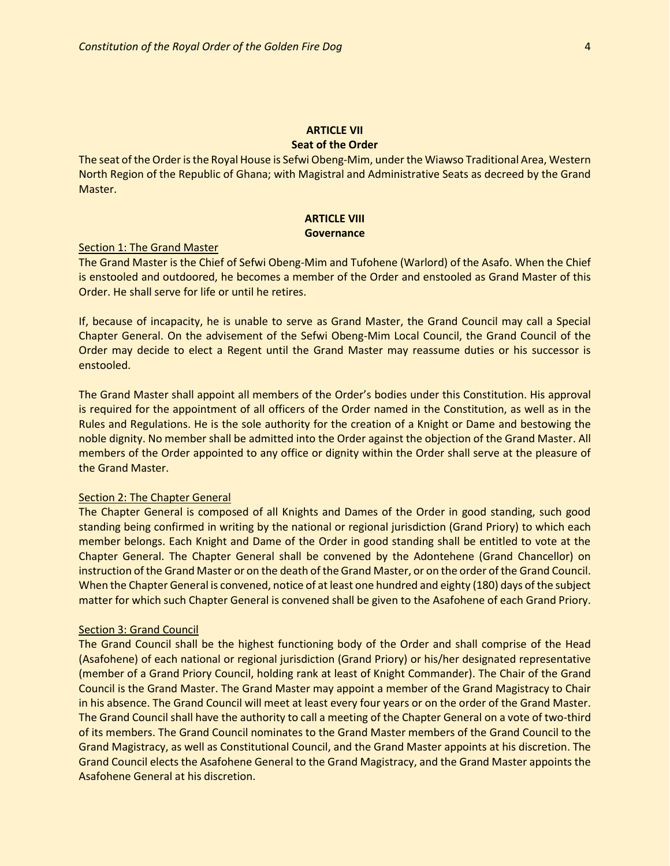#### **ARTICLE VII Seat of the Order**

The seat of the Order is the Royal House is Sefwi Obeng-Mim, under the Wiawso Traditional Area, Western North Region of the Republic of Ghana; with Magistral and Administrative Seats as decreed by the Grand Master.

# **ARTICLE VIII Governance**

#### Section 1: The Grand Master

The Grand Master is the Chief of Sefwi Obeng-Mim and Tufohene (Warlord) of the Asafo. When the Chief is enstooled and outdoored, he becomes a member of the Order and enstooled as Grand Master of this Order. He shall serve for life or until he retires.

If, because of incapacity, he is unable to serve as Grand Master, the Grand Council may call a Special Chapter General. On the advisement of the Sefwi Obeng-Mim Local Council, the Grand Council of the Order may decide to elect a Regent until the Grand Master may reassume duties or his successor is enstooled.

The Grand Master shall appoint all members of the Order's bodies under this Constitution. His approval is required for the appointment of all officers of the Order named in the Constitution, as well as in the Rules and Regulations. He is the sole authority for the creation of a Knight or Dame and bestowing the noble dignity. No member shall be admitted into the Order against the objection of the Grand Master. All members of the Order appointed to any office or dignity within the Order shall serve at the pleasure of the Grand Master.

#### Section 2: The Chapter General

The Chapter General is composed of all Knights and Dames of the Order in good standing, such good standing being confirmed in writing by the national or regional jurisdiction (Grand Priory) to which each member belongs. Each Knight and Dame of the Order in good standing shall be entitled to vote at the Chapter General. The Chapter General shall be convened by the Adontehene (Grand Chancellor) on instruction of the Grand Master or on the death of the Grand Master, or on the order of the Grand Council. When the Chapter General is convened, notice of at least one hundred and eighty (180) days of the subject matter for which such Chapter General is convened shall be given to the Asafohene of each Grand Priory.

#### Section 3: Grand Council

The Grand Council shall be the highest functioning body of the Order and shall comprise of the Head (Asafohene) of each national or regional jurisdiction (Grand Priory) or his/her designated representative (member of a Grand Priory Council, holding rank at least of Knight Commander). The Chair of the Grand Council is the Grand Master. The Grand Master may appoint a member of the Grand Magistracy to Chair in his absence. The Grand Council will meet at least every four years or on the order of the Grand Master. The Grand Council shall have the authority to call a meeting of the Chapter General on a vote of two-third of its members. The Grand Council nominates to the Grand Master members of the Grand Council to the Grand Magistracy, as well as Constitutional Council, and the Grand Master appoints at his discretion. The Grand Council elects the Asafohene General to the Grand Magistracy, and the Grand Master appoints the Asafohene General at his discretion.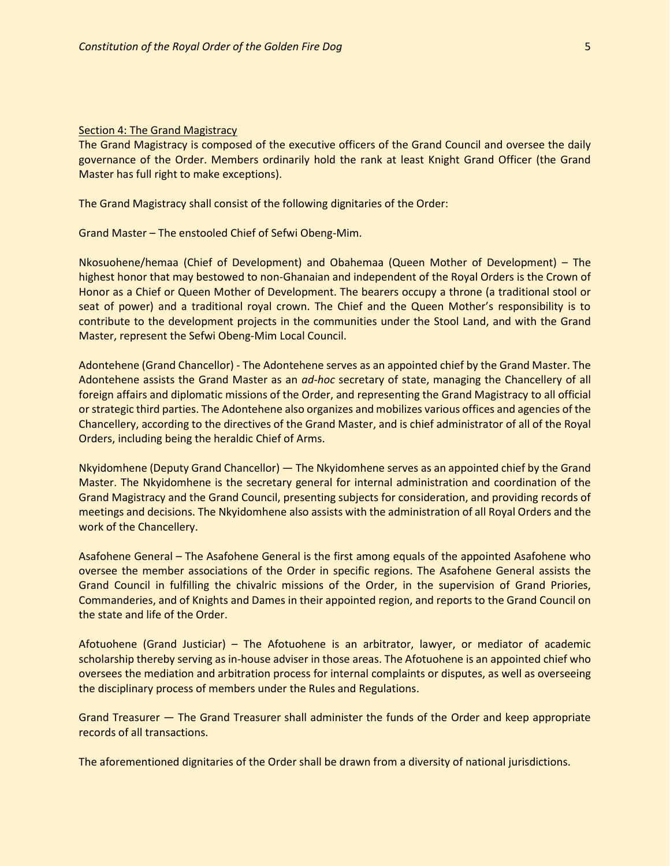#### **Section 4: The Grand Magistracy**

The Grand Magistracy is composed of the executive officers of the Grand Council and oversee the daily governance of the Order. Members ordinarily hold the rank at least Knight Grand Officer (the Grand Master has full right to make exceptions).

The Grand Magistracy shall consist of the following dignitaries of the Order:

Grand Master – The enstooled Chief of Sefwi Obeng-Mim.

Nkosuohene/hemaa (Chief of Development) and Obahemaa (Queen Mother of Development) – The highest honor that may bestowed to non-Ghanaian and independent of the Royal Orders is the Crown of Honor as a Chief or Queen Mother of Development. The bearers occupy a throne (a traditional stool or seat of power) and a traditional royal crown. The Chief and the Queen Mother's responsibility is to contribute to the development projects in the communities under the Stool Land, and with the Grand Master, represent the Sefwi Obeng-Mim Local Council.

Adontehene (Grand Chancellor) - The Adontehene serves as an appointed chief by the Grand Master. The Adontehene assists the Grand Master as an *ad-hoc* secretary of state, managing the Chancellery of all foreign affairs and diplomatic missions of the Order, and representing the Grand Magistracy to all official or strategic third parties. The Adontehene also organizes and mobilizes various offices and agencies of the Chancellery, according to the directives of the Grand Master, and is chief administrator of all of the Royal Orders, including being the heraldic Chief of Arms.

Nkyidomhene (Deputy Grand Chancellor) — The Nkyidomhene serves as an appointed chief by the Grand Master. The Nkyidomhene is the secretary general for internal administration and coordination of the Grand Magistracy and the Grand Council, presenting subjects for consideration, and providing records of meetings and decisions. The Nkyidomhene also assists with the administration of all Royal Orders and the work of the Chancellery.

Asafohene General – The Asafohene General is the first among equals of the appointed Asafohene who oversee the member associations of the Order in specific regions. The Asafohene General assists the Grand Council in fulfilling the chivalric missions of the Order, in the supervision of Grand Priories, Commanderies, and of Knights and Dames in their appointed region, and reports to the Grand Council on the state and life of the Order.

Afotuohene (Grand Justiciar) – The Afotuohene is an arbitrator, lawyer, or mediator of academic scholarship thereby serving as in-house adviser in those areas. The Afotuohene is an appointed chief who oversees the mediation and arbitration process for internal complaints or disputes, as well as overseeing the disciplinary process of members under the Rules and Regulations.

Grand Treasurer — The Grand Treasurer shall administer the funds of the Order and keep appropriate records of all transactions.

The aforementioned dignitaries of the Order shall be drawn from a diversity of national jurisdictions.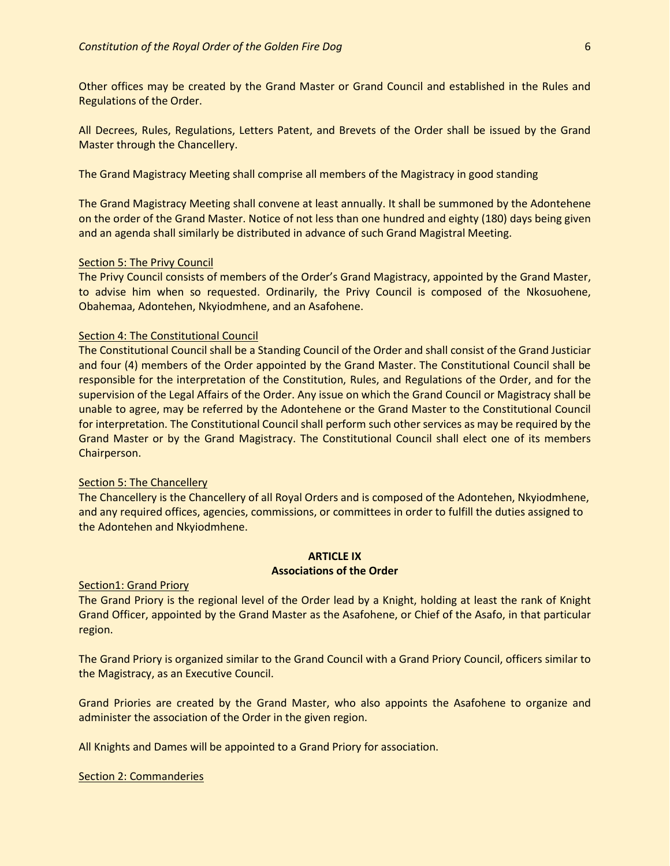Other offices may be created by the Grand Master or Grand Council and established in the Rules and Regulations of the Order.

All Decrees, Rules, Regulations, Letters Patent, and Brevets of the Order shall be issued by the Grand Master through the Chancellery.

The Grand Magistracy Meeting shall comprise all members of the Magistracy in good standing

The Grand Magistracy Meeting shall convene at least annually. It shall be summoned by the Adontehene on the order of the Grand Master. Notice of not less than one hundred and eighty (180) days being given and an agenda shall similarly be distributed in advance of such Grand Magistral Meeting.

#### Section 5: The Privy Council

The Privy Council consists of members of the Order's Grand Magistracy, appointed by the Grand Master, to advise him when so requested. Ordinarily, the Privy Council is composed of the Nkosuohene, Obahemaa, Adontehen, Nkyiodmhene, and an Asafohene.

## Section 4: The Constitutional Council

The Constitutional Council shall be a Standing Council of the Order and shall consist of the Grand Justiciar and four (4) members of the Order appointed by the Grand Master. The Constitutional Council shall be responsible for the interpretation of the Constitution, Rules, and Regulations of the Order, and for the supervision of the Legal Affairs of the Order. Any issue on which the Grand Council or Magistracy shall be unable to agree, may be referred by the Adontehene or the Grand Master to the Constitutional Council for interpretation. The Constitutional Council shall perform such other services as may be required by the Grand Master or by the Grand Magistracy. The Constitutional Council shall elect one of its members Chairperson.

#### Section 5: The Chancellery

The Chancellery is the Chancellery of all Royal Orders and is composed of the Adontehen, Nkyiodmhene, and any required offices, agencies, commissions, or committees in order to fulfill the duties assigned to the Adontehen and Nkyiodmhene.

## **ARTICLE IX Associations of the Order**

## Section1: Grand Priory

The Grand Priory is the regional level of the Order lead by a Knight, holding at least the rank of Knight Grand Officer, appointed by the Grand Master as the Asafohene, or Chief of the Asafo, in that particular region.

The Grand Priory is organized similar to the Grand Council with a Grand Priory Council, officers similar to the Magistracy, as an Executive Council.

Grand Priories are created by the Grand Master, who also appoints the Asafohene to organize and administer the association of the Order in the given region.

All Knights and Dames will be appointed to a Grand Priory for association.

#### Section 2: Commanderies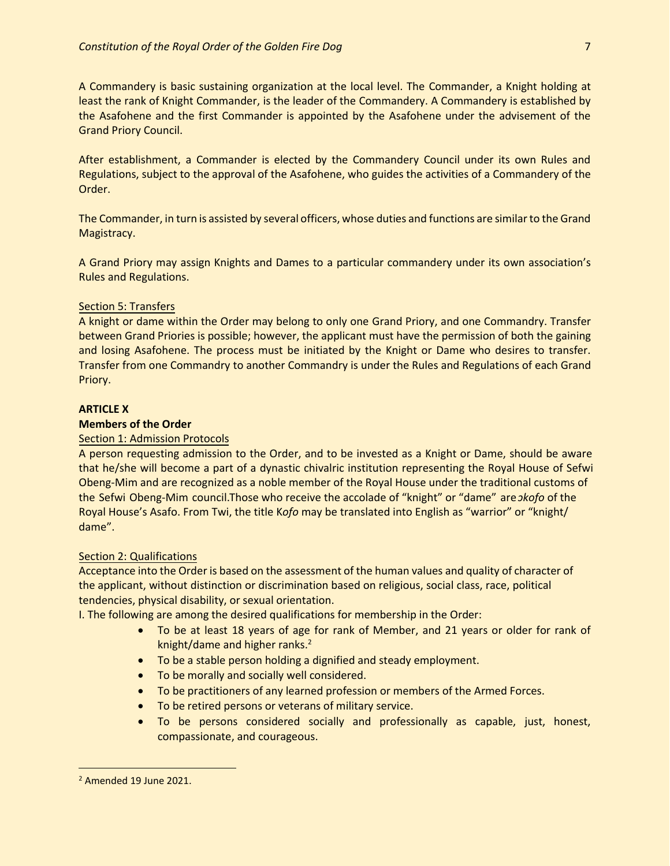A Commandery is basic sustaining organization at the local level. The Commander, a Knight holding at least the rank of Knight Commander, is the leader of the Commandery. A Commandery is established by the Asafohene and the first Commander is appointed by the Asafohene under the advisement of the Grand Priory Council.

After establishment, a Commander is elected by the Commandery Council under its own Rules and Regulations, subject to the approval of the Asafohene, who guides the activities of a Commandery of the Order.

The Commander, in turn is assisted by several officers, whose duties and functions are similar to the Grand Magistracy.

A Grand Priory may assign Knights and Dames to a particular commandery under its own association's Rules and Regulations.

## Section 5: Transfers

A knight or dame within the Order may belong to only one Grand Priory, and one Commandry. Transfer between Grand Priories is possible; however, the applicant must have the permission of both the gaining and losing Asafohene. The process must be initiated by the Knight or Dame who desires to transfer. Transfer from one Commandry to another Commandry is under the Rules and Regulations of each Grand Priory.

## **ARTICLE X**

#### **Members of the Order**

## Section 1: Admission Protocols

A person requesting admission to the Order, and to be invested as a Knight or Dame, should be aware that he/she will become a part of a dynastic chivalric institution representing the Royal House of Sefwi Obeng-Mim and are recognized as a noble member of the Royal House under the traditional customs of the Sefwi Obeng-Mim council. Those who receive the accolade of "knight" or "dame" are *ɔkofo* of the Royal House's Asafo. From Twi, the title K*ofo* may be translated into English as "warrior" or "knight/ dame".

#### Section 2: Qualifications

Acceptance into the Order is based on the assessment of the human values and quality of character of the applicant, without distinction or discrimination based on religious, social class, race, political tendencies, physical disability, or sexual orientation.

I. The following are among the desired qualifications for membership in the Order:

- To be at least 18 years of age for rank of Member, and 21 years or older for rank of knight/dame and higher ranks. 2
- To be a stable person holding a dignified and steady employment.
- To be morally and socially well considered.
- To be practitioners of any learned profession or members of the Armed Forces.
- To be retired persons or veterans of military service.
- To be persons considered socially and professionally as capable, just, honest, compassionate, and courageous.

<sup>2</sup> Amended 19 June 2021.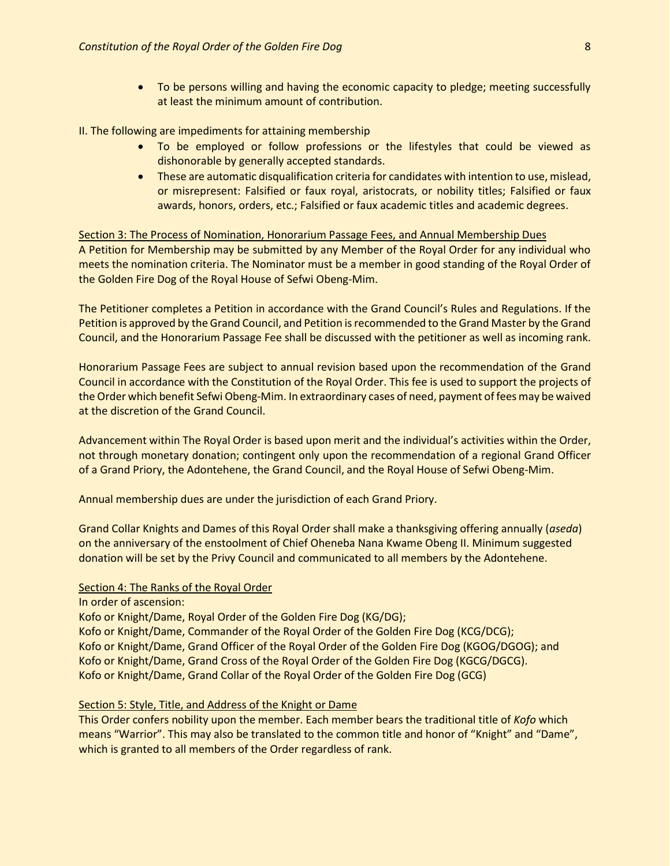• To be persons willing and having the economic capacity to pledge; meeting successfully at least the minimum amount of contribution.

#### II. The following are impediments for attaining membership

- To be employed or follow professions or the lifestyles that could be viewed as dishonorable by generally accepted standards.
- These are automatic disqualification criteria for candidates with intention to use, mislead, or misrepresent: Falsified or faux royal, aristocrats, or nobility titles; Falsified or faux awards, honors, orders, etc.; Falsified or faux academic titles and academic degrees.

## Section 3: The Process of Nomination, Honorarium Passage Fees, and Annual Membership Dues

A Petition for Membership may be submitted by any Member of the Royal Order for any individual who meets the nomination criteria. The Nominator must be a member in good standing of the Royal Order of the Golden Fire Dog of the Royal House of Sefwi Obeng-Mim.

The Petitioner completes a Petition in accordance with the Grand Council's Rules and Regulations. If the Petition is approved by the Grand Council, and Petition is recommended to the Grand Master by the Grand Council, and the Honorarium Passage Fee shall be discussed with the petitioner as well as incoming rank.

Honorarium Passage Fees are subject to annual revision based upon the recommendation of the Grand Council in accordance with the Constitution of the Royal Order. This fee is used to support the projects of the Order which benefit Sefwi Obeng-Mim. In extraordinary cases of need, payment of fees may be waived at the discretion of the Grand Council.

Advancement within The Royal Order is based upon merit and the individual's activities within the Order, not through monetary donation; contingent only upon the recommendation of a regional Grand Officer of a Grand Priory, the Adontehene, the Grand Council, and the Royal House of Sefwi Obeng-Mim.

Annual membership dues are under the jurisdiction of each Grand Priory.

Grand Collar Knights and Dames of this Royal Order shall make a thanksgiving offering annually (*aseda*) on the anniversary of the enstoolment of Chief Oheneba Nana Kwame Obeng II. Minimum suggested donation will be set by the Privy Council and communicated to all members by the Adontehene.

#### Section 4: The Ranks of the Royal Order

In order of ascension:

Kofo or Knight/Dame, Royal Order of the Golden Fire Dog (KG/DG);

Kofo or Knight/Dame, Commander of the Royal Order of the Golden Fire Dog (KCG/DCG); Kofo or Knight/Dame, Grand Officer of the Royal Order of the Golden Fire Dog (KGOG/DGOG); and Kofo or Knight/Dame, Grand Cross of the Royal Order of the Golden Fire Dog (KGCG/DGCG). Kofo or Knight/Dame, Grand Collar of the Royal Order of the Golden Fire Dog (GCG)

# Section 5: Style, Title, and Address of the Knight or Dame

This Order confers nobility upon the member. Each member bears the traditional title of *Kofo* which means "Warrior". This may also be translated to the common title and honor of "Knight" and "Dame", which is granted to all members of the Order regardless of rank.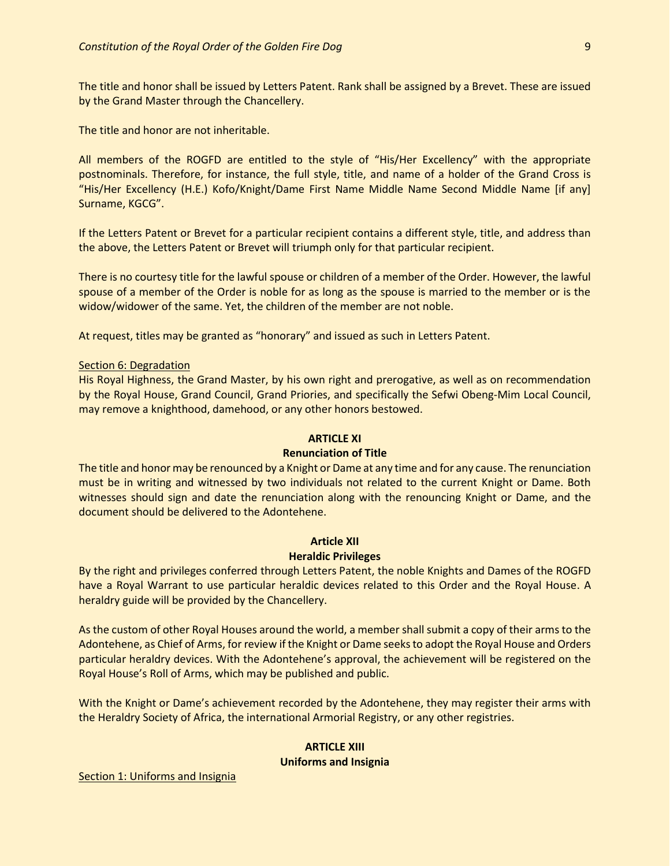The title and honor shall be issued by Letters Patent. Rank shall be assigned by a Brevet. These are issued by the Grand Master through the Chancellery.

The title and honor are not inheritable.

All members of the ROGFD are entitled to the style of "His/Her Excellency" with the appropriate postnominals. Therefore, for instance, the full style, title, and name of a holder of the Grand Cross is "His/Her Excellency (H.E.) Kofo/Knight/Dame First Name Middle Name Second Middle Name [if any] Surname, KGCG".

If the Letters Patent or Brevet for a particular recipient contains a different style, title, and address than the above, the Letters Patent or Brevet will triumph only for that particular recipient.

There is no courtesy title for the lawful spouse or children of a member of the Order. However, the lawful spouse of a member of the Order is noble for as long as the spouse is married to the member or is the widow/widower of the same. Yet, the children of the member are not noble.

At request, titles may be granted as "honorary" and issued as such in Letters Patent.

#### Section 6: Degradation

His Royal Highness, the Grand Master, by his own right and prerogative, as well as on recommendation by the Royal House, Grand Council, Grand Priories, and specifically the Sefwi Obeng-Mim Local Council, may remove a knighthood, damehood, or any other honors bestowed.

## **ARTICLE XI**

# **Renunciation of Title**

The title and honor may be renounced by a Knight or Dame at any time and for any cause. The renunciation must be in writing and witnessed by two individuals not related to the current Knight or Dame. Both witnesses should sign and date the renunciation along with the renouncing Knight or Dame, and the document should be delivered to the Adontehene.

# **Article XII**

# **Heraldic Privileges**

By the right and privileges conferred through Letters Patent, the noble Knights and Dames of the ROGFD have a Royal Warrant to use particular heraldic devices related to this Order and the Royal House. A heraldry guide will be provided by the Chancellery.

As the custom of other Royal Houses around the world, a member shall submit a copy of their arms to the Adontehene, as Chief of Arms, for review if the Knight or Dame seeks to adopt the Royal House and Orders particular heraldry devices. With the Adontehene's approval, the achievement will be registered on the Royal House's Roll of Arms, which may be published and public.

With the Knight or Dame's achievement recorded by the Adontehene, they may register their arms with the Heraldry Society of Africa, the international Armorial Registry, or any other registries.

# **ARTICLE XIII**

#### **Uniforms and Insignia**

Section 1: Uniforms and Insignia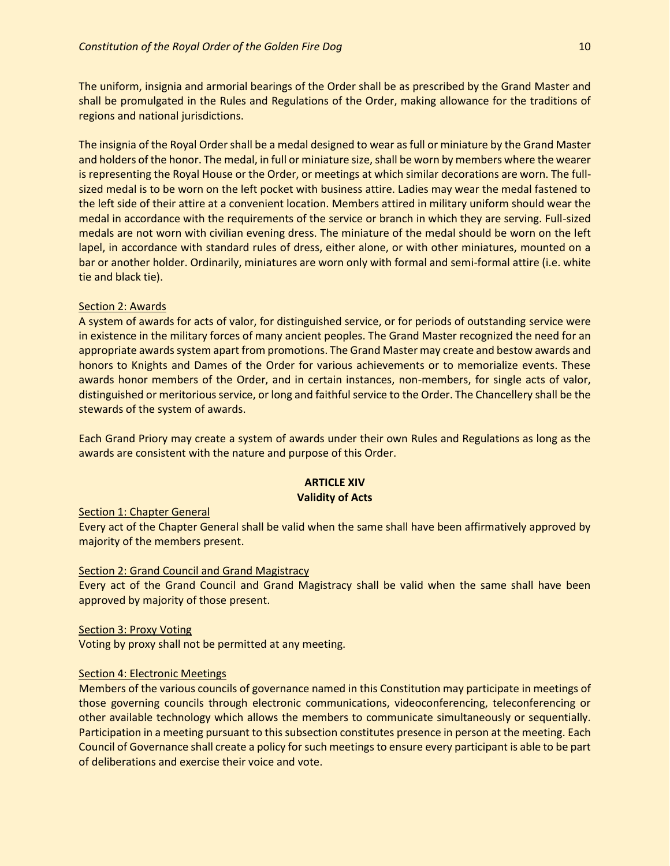The uniform, insignia and armorial bearings of the Order shall be as prescribed by the Grand Master and shall be promulgated in the Rules and Regulations of the Order, making allowance for the traditions of regions and national jurisdictions.

The insignia of the Royal Order shall be a medal designed to wear as full or miniature by the Grand Master and holders of the honor. The medal, in full or miniature size, shall be worn by members where the wearer is representing the Royal House or the Order, or meetings at which similar decorations are worn. The fullsized medal is to be worn on the left pocket with business attire. Ladies may wear the medal fastened to the left side of their attire at a convenient location. Members attired in military uniform should wear the medal in accordance with the requirements of the service or branch in which they are serving. Full-sized medals are not worn with civilian evening dress. The miniature of the medal should be worn on the left lapel, in accordance with standard rules of dress, either alone, or with other miniatures, mounted on a bar or another holder. Ordinarily, miniatures are worn only with formal and semi-formal attire (i.e. white tie and black tie).

## Section 2: Awards

A system of awards for acts of valor, for distinguished service, or for periods of outstanding service were in existence in the military forces of many ancient peoples. The Grand Master recognized the need for an appropriate awards system apart from promotions. The Grand Master may create and bestow awards and honors to Knights and Dames of the Order for various achievements or to memorialize events. These awards honor members of the Order, and in certain instances, non-members, for single acts of valor, distinguished or meritorious service, or long and faithful service to the Order. The Chancellery shall be the stewards of the system of awards.

Each Grand Priory may create a system of awards under their own Rules and Regulations as long as the awards are consistent with the nature and purpose of this Order.

# **ARTICLE XIV Validity of Acts**

#### Section 1: Chapter General

Every act of the Chapter General shall be valid when the same shall have been affirmatively approved by majority of the members present.

## **Section 2: Grand Council and Grand Magistracy**

Every act of the Grand Council and Grand Magistracy shall be valid when the same shall have been approved by majority of those present.

#### Section 3: Proxy Voting

Voting by proxy shall not be permitted at any meeting.

## Section 4: Electronic Meetings

Members of the various councils of governance named in this Constitution may participate in meetings of those governing councils through electronic communications, videoconferencing, teleconferencing or other available technology which allows the members to communicate simultaneously or sequentially. Participation in a meeting pursuant to this subsection constitutes presence in person at the meeting. Each Council of Governance shall create a policy for such meetings to ensure every participant is able to be part of deliberations and exercise their voice and vote.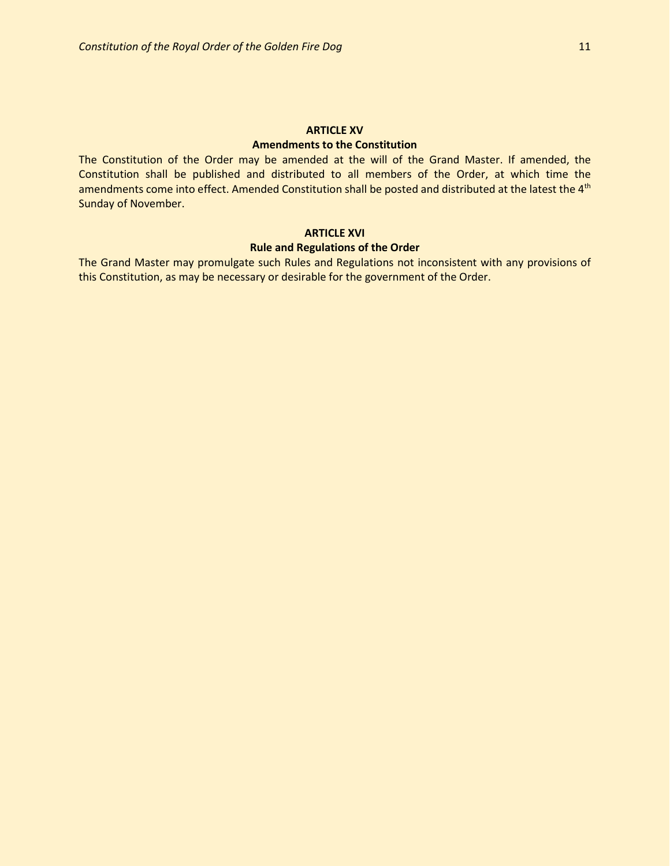## **ARTICLE XV Amendments to the Constitution**

The Constitution of the Order may be amended at the will of the Grand Master. If amended, the Constitution shall be published and distributed to all members of the Order, at which time the amendments come into effect. Amended Constitution shall be posted and distributed at the latest the 4<sup>th</sup> Sunday of November.

#### **ARTICLE XVI**

## **Rule and Regulations of the Order**

The Grand Master may promulgate such Rules and Regulations not inconsistent with any provisions of this Constitution, as may be necessary or desirable for the government of the Order.